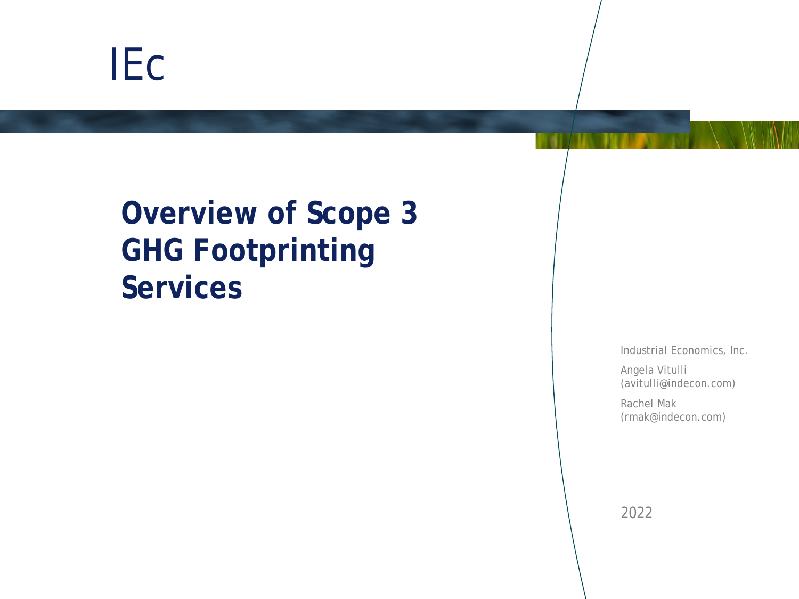# IEc

# **Overview of Scope 3 GHG Footprinting Services**

Industrial Economics, Inc.

Angela Vitulli (avitulli@indecon.com)

Rachel Mak (rmak@indecon.com)

2022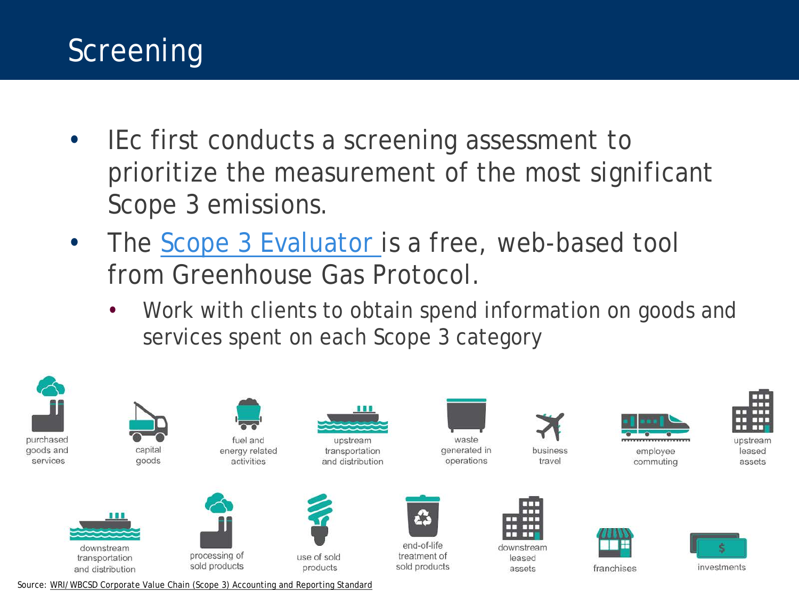#### Screening

- IEc first conducts a screening assessment to prioritize the measurement of the most significant Scope 3 emissions.
- The [Scope 3 Evaluator i](https://ghgprotocol.org/scope-3-evaluator)s a free, web-based tool from Greenhouse Gas Protocol.
	- Work with clients to obtain spend information on goods and services spent on each Scope 3 category



Source: [WRI/WBCSD Corporate Value Chain \(Scope 3\) Accounting and Reporting Standard](https://ghgprotocol.org/sites/default/files/standards/Corporate-Value-Chain-Accounting-Reporing-Standard_041613_2.pdf)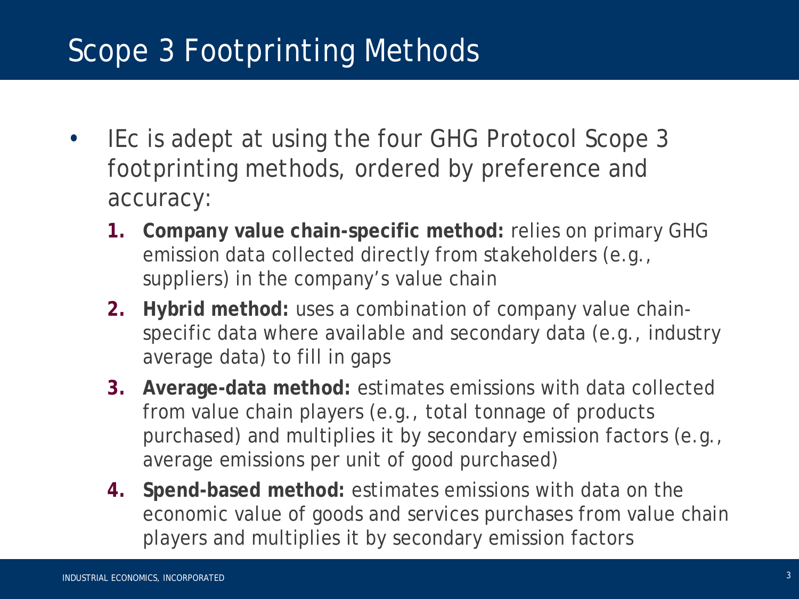- IEc is adept at using the four GHG Protocol Scope 3 footprinting methods, ordered by preference and accuracy:
	- **1. Company value chain-specific method:** relies on primary GHG emission data collected directly from stakeholders (e.g., suppliers) in the company's value chain
	- **2. Hybrid method:** uses a combination of company value chainspecific data where available and secondary data (e.g., industry average data) to fill in gaps
	- **3. Average-data method:** estimates emissions with data collected from value chain players (e.g., total tonnage of products purchased) and multiplies it by secondary emission factors (e.g., average emissions per unit of good purchased)
	- **4. Spend-based method:** estimates emissions with data on the economic value of goods and services purchases from value chain players and multiplies it by secondary emission factors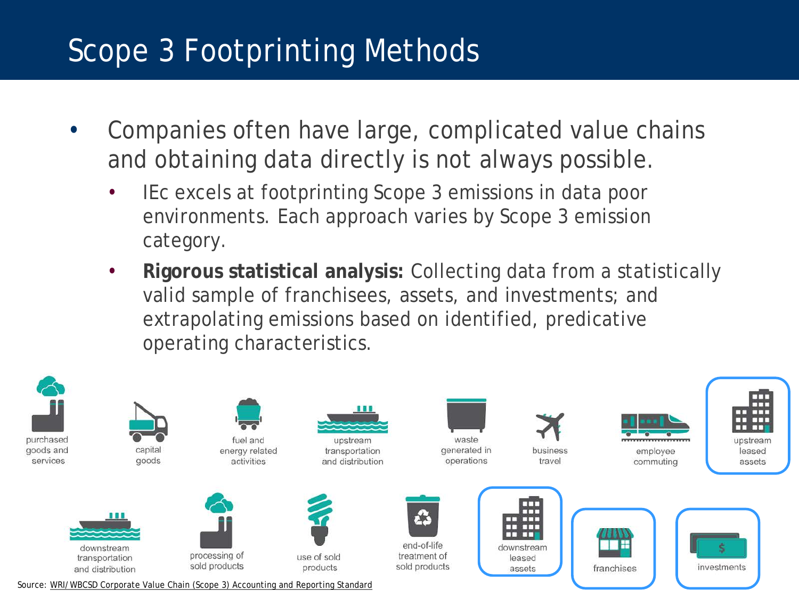- Companies often have large, complicated value chains and obtaining data directly is not always possible.
	- IEc excels at footprinting Scope 3 emissions in data poor environments. Each approach varies by Scope 3 emission category.
	- **Rigorous statistical analysis:** Collecting data from a statistically valid sample of franchisees, assets, and investments; and extrapolating emissions based on identified, predicative operating characteristics.

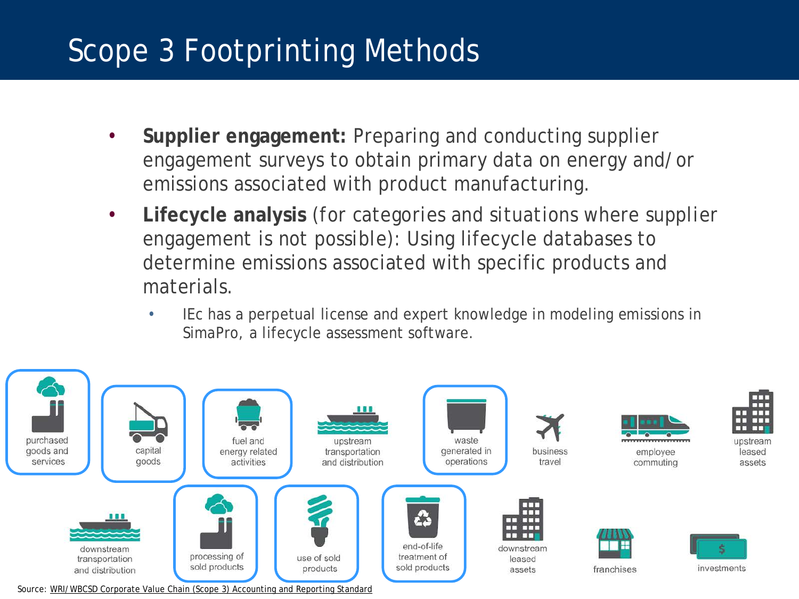- **Supplier engagement:** Preparing and conducting supplier engagement surveys to obtain primary data on energy and/or emissions associated with product manufacturing.
- **Lifecycle analysis** *(for categories and situations where supplier engagement is not possible)*: Using lifecycle databases to determine emissions associated with specific products and materials.
	- IEc has a perpetual license and expert knowledge in modeling emissions in SimaPro, a lifecycle assessment software.

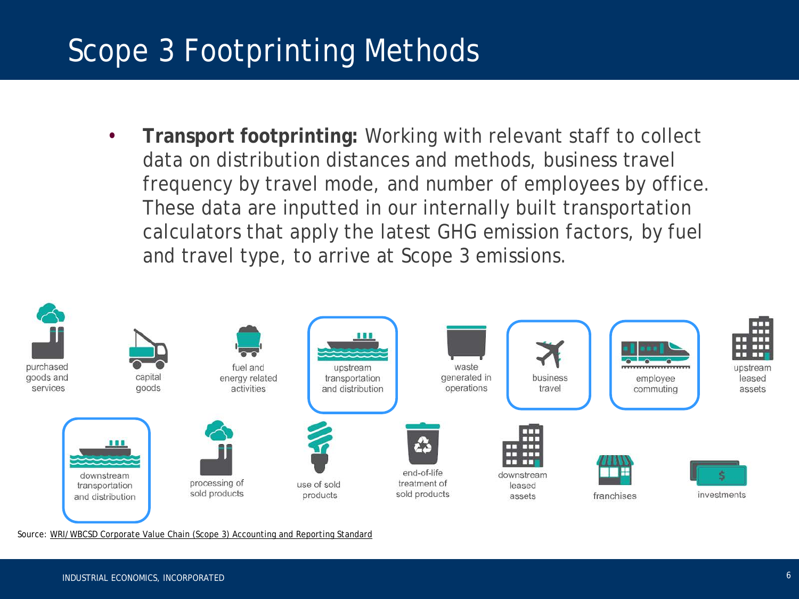• **Transport footprinting:** Working with relevant staff to collect data on distribution distances and methods, business travel frequency by travel mode, and number of employees by office. These data are inputted in our internally built transportation calculators that apply the latest GHG emission factors, by fuel and travel type, to arrive at Scope 3 emissions.



Source: [WRI/WBCSD Corporate Value Chain \(Scope 3\) Accounting and Reporting Standard](https://ghgprotocol.org/sites/default/files/standards/Corporate-Value-Chain-Accounting-Reporing-Standard_041613_2.pdf)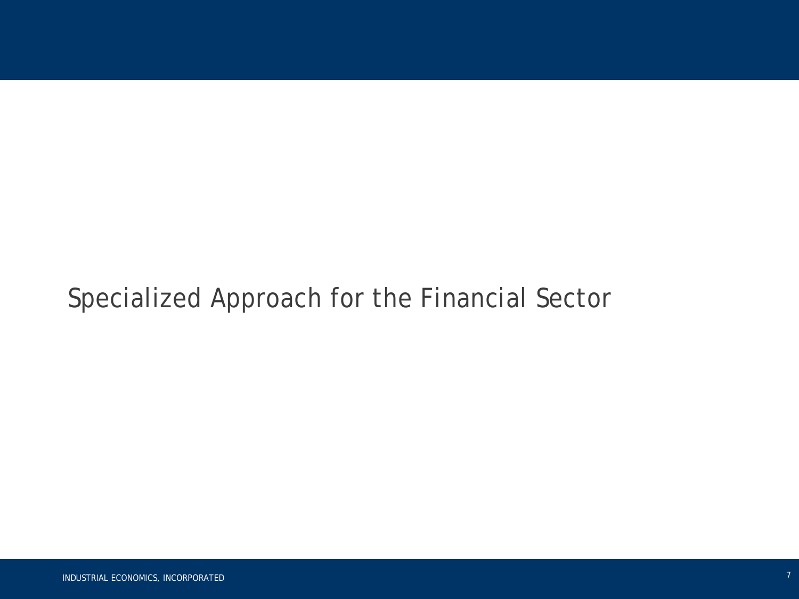#### Specialized Approach for the Financial Sector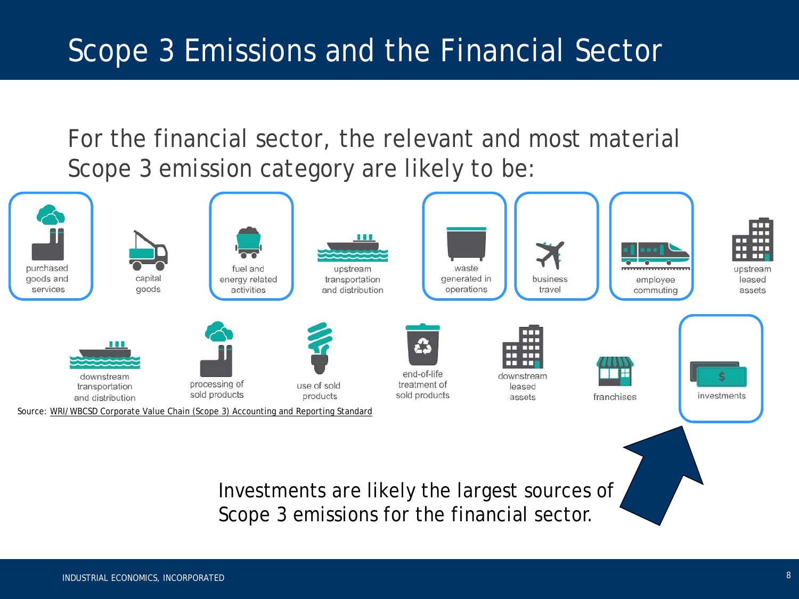For the financial sector, the relevant and most material Scope 3 emission category are likely to be:

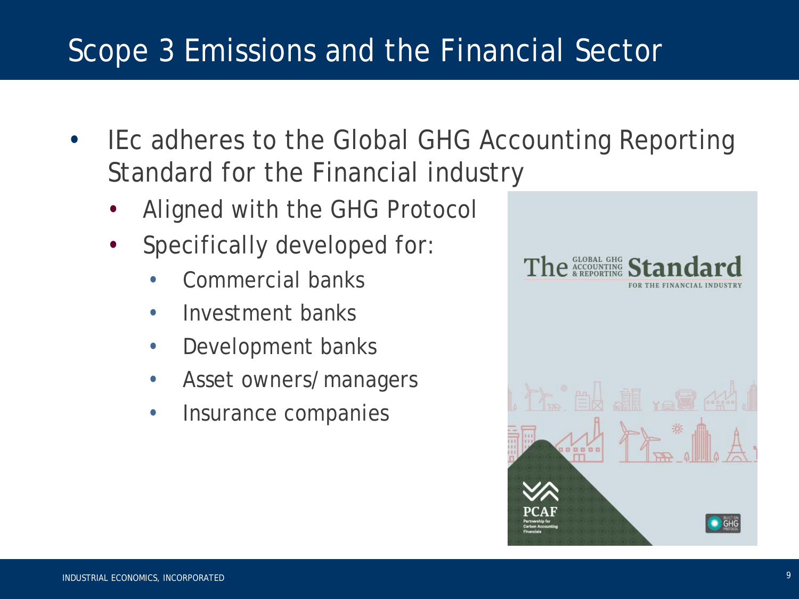- IEc adheres to the Global GHG Accounting Reporting Standard for the Financial industry
	- Aligned with the GHG Protocol
	- Specifically developed for:
		- Commercial banks
		- Investment banks
		- Development banks
		- Asset owners/managers
		- Insurance companies

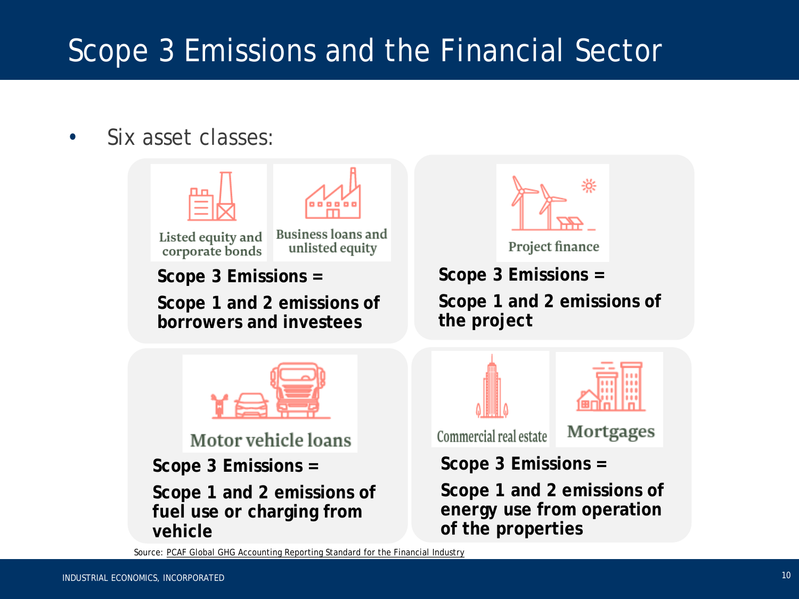Six asset classes:





Project finance

**Scope 3 Emissions =** 

**Scope 1 and 2 emissions of the project**

Commercial real estate

Mortgages

**Scope 3 Emissions =** 

**Scope 1 and 2 emissions of energy use from operation of the properties**

Source: [PCAF Global GHG Accounting Reporting Standard for the Financial Industry](https://carbonaccountingfinancials.com/files/downloads/PCAF-Global-GHG-Standard.pdf)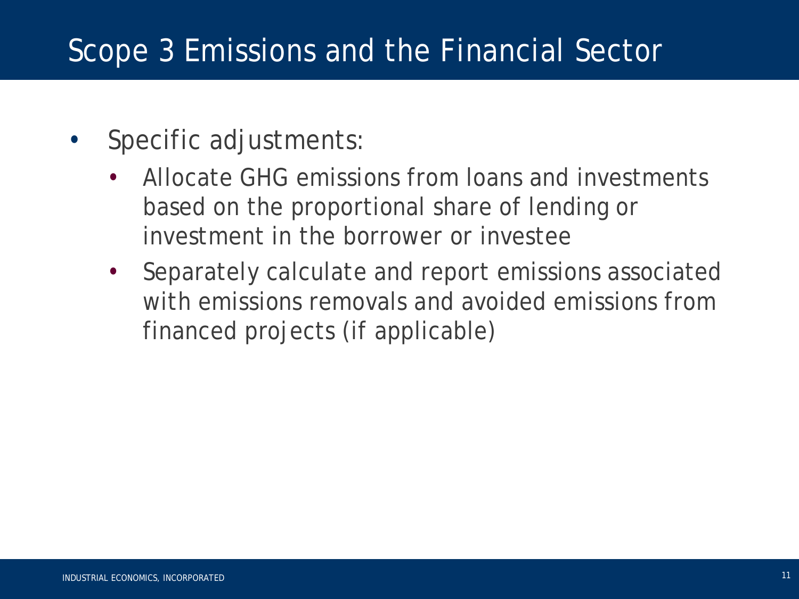- Specific adjustments:
	- Allocate GHG emissions from loans and investments based on the proportional share of lending or investment in the borrower or investee
	- Separately calculate and report emissions associated with emissions removals and avoided emissions from financed projects (if applicable)